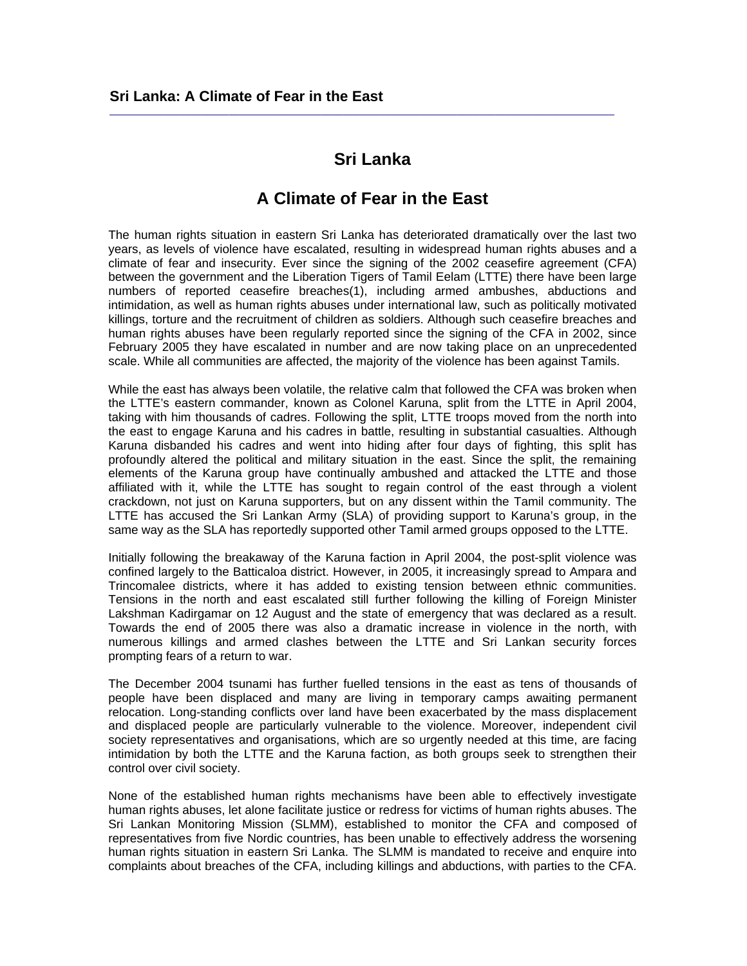# **Sri Lanka**

 $\_$  ,  $\_$  ,  $\_$  ,  $\_$  ,  $\_$  ,  $\_$  ,  $\_$  ,  $\_$  ,  $\_$  ,  $\_$  ,  $\_$  ,  $\_$  ,  $\_$  ,  $\_$  ,  $\_$  ,  $\_$  ,  $\_$  ,  $\_$  ,  $\_$  ,  $\_$ 

## **A Climate of Fear in the East**

The human rights situation in eastern Sri Lanka has deteriorated dramatically over the last two years, as levels of violence have escalated, resulting in widespread human rights abuses and a climate of fear and insecurity. Ever since the signing of the 2002 ceasefire agreement (CFA) between the government and the Liberation Tigers of Tamil Eelam (LTTE) there have been large numbers of reported ceasefire breaches(1), including armed ambushes, abductions and intimidation, as well as human rights abuses under international law, such as politically motivated killings, torture and the recruitment of children as soldiers. Although such ceasefire breaches and human rights abuses have been regularly reported since the signing of the CFA in 2002, since February 2005 they have escalated in number and are now taking place on an unprecedented scale. While all communities are affected, the majority of the violence has been against Tamils.

While the east has always been volatile, the relative calm that followed the CFA was broken when the LTTE's eastern commander, known as Colonel Karuna, split from the LTTE in April 2004, taking with him thousands of cadres. Following the split, LTTE troops moved from the north into the east to engage Karuna and his cadres in battle, resulting in substantial casualties. Although Karuna disbanded his cadres and went into hiding after four days of fighting, this split has profoundly altered the political and military situation in the east. Since the split, the remaining elements of the Karuna group have continually ambushed and attacked the LTTE and those affiliated with it, while the LTTE has sought to regain control of the east through a violent crackdown, not just on Karuna supporters, but on any dissent within the Tamil community. The LTTE has accused the Sri Lankan Army (SLA) of providing support to Karuna's group, in the same way as the SLA has reportedly supported other Tamil armed groups opposed to the LTTE.

Initially following the breakaway of the Karuna faction in April 2004, the post-split violence was confined largely to the Batticaloa district. However, in 2005, it increasingly spread to Ampara and Trincomalee districts, where it has added to existing tension between ethnic communities. Tensions in the north and east escalated still further following the killing of Foreign Minister Lakshman Kadirgamar on 12 August and the state of emergency that was declared as a result. Towards the end of 2005 there was also a dramatic increase in violence in the north, with numerous killings and armed clashes between the LTTE and Sri Lankan security forces prompting fears of a return to war.

The December 2004 tsunami has further fuelled tensions in the east as tens of thousands of people have been displaced and many are living in temporary camps awaiting permanent relocation. Long-standing conflicts over land have been exacerbated by the mass displacement and displaced people are particularly vulnerable to the violence. Moreover, independent civil society representatives and organisations, which are so urgently needed at this time, are facing intimidation by both the LTTE and the Karuna faction, as both groups seek to strengthen their control over civil society.

None of the established human rights mechanisms have been able to effectively investigate human rights abuses, let alone facilitate justice or redress for victims of human rights abuses. The Sri Lankan Monitoring Mission (SLMM), established to monitor the CFA and composed of representatives from five Nordic countries, has been unable to effectively address the worsening human rights situation in eastern Sri Lanka. The SLMM is mandated to receive and enquire into complaints about breaches of the CFA, including killings and abductions, with parties to the CFA.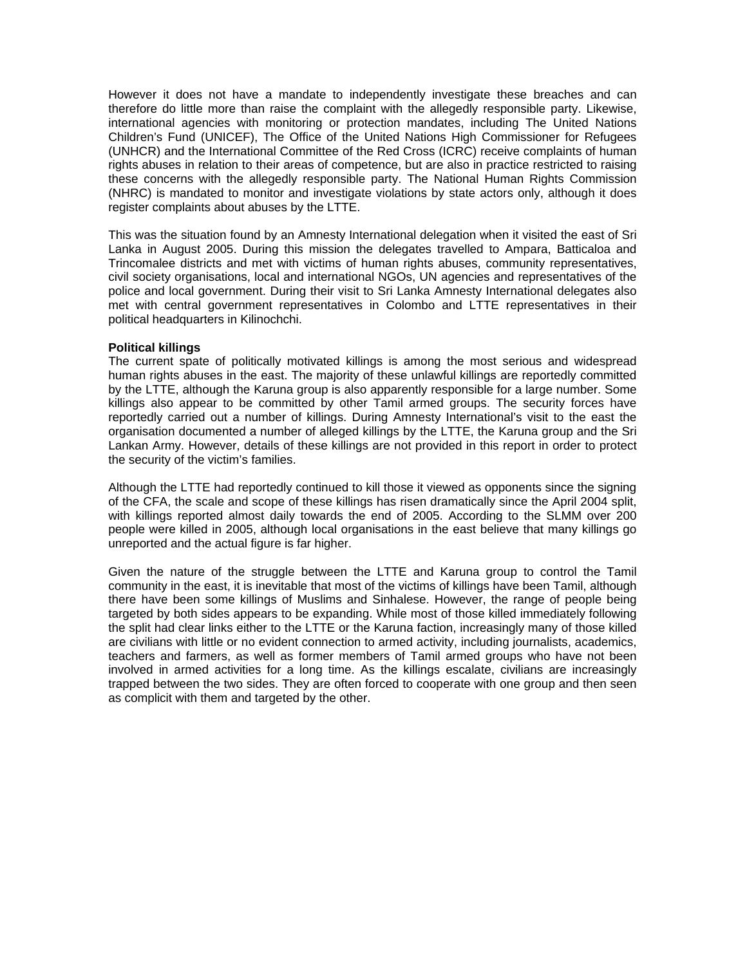However it does not have a mandate to independently investigate these breaches and can therefore do little more than raise the complaint with the allegedly responsible party. Likewise, international agencies with monitoring or protection mandates, including The United Nations Children's Fund (UNICEF), The Office of the United Nations High Commissioner for Refugees (UNHCR) and the International Committee of the Red Cross (ICRC) receive complaints of human rights abuses in relation to their areas of competence, but are also in practice restricted to raising these concerns with the allegedly responsible party. The National Human Rights Commission (NHRC) is mandated to monitor and investigate violations by state actors only, although it does register complaints about abuses by the LTTE.

This was the situation found by an Amnesty International delegation when it visited the east of Sri Lanka in August 2005. During this mission the delegates travelled to Ampara, Batticaloa and Trincomalee districts and met with victims of human rights abuses, community representatives, civil society organisations, local and international NGOs, UN agencies and representatives of the police and local government. During their visit to Sri Lanka Amnesty International delegates also met with central government representatives in Colombo and LTTE representatives in their political headquarters in Kilinochchi.

### **Political killings**

The current spate of politically motivated killings is among the most serious and widespread human rights abuses in the east. The majority of these unlawful killings are reportedly committed by the LTTE, although the Karuna group is also apparently responsible for a large number. Some killings also appear to be committed by other Tamil armed groups. The security forces have reportedly carried out a number of killings. During Amnesty International's visit to the east the organisation documented a number of alleged killings by the LTTE, the Karuna group and the Sri Lankan Army. However, details of these killings are not provided in this report in order to protect the security of the victim's families.

Although the LTTE had reportedly continued to kill those it viewed as opponents since the signing of the CFA, the scale and scope of these killings has risen dramatically since the April 2004 split, with killings reported almost daily towards the end of 2005. According to the SLMM over 200 people were killed in 2005, although local organisations in the east believe that many killings go unreported and the actual figure is far higher.

Given the nature of the struggle between the LTTE and Karuna group to control the Tamil community in the east, it is inevitable that most of the victims of killings have been Tamil, although there have been some killings of Muslims and Sinhalese. However, the range of people being targeted by both sides appears to be expanding. While most of those killed immediately following the split had clear links either to the LTTE or the Karuna faction, increasingly many of those killed are civilians with little or no evident connection to armed activity, including journalists, academics, teachers and farmers, as well as former members of Tamil armed groups who have not been involved in armed activities for a long time. As the killings escalate, civilians are increasingly trapped between the two sides. They are often forced to cooperate with one group and then seen as complicit with them and targeted by the other.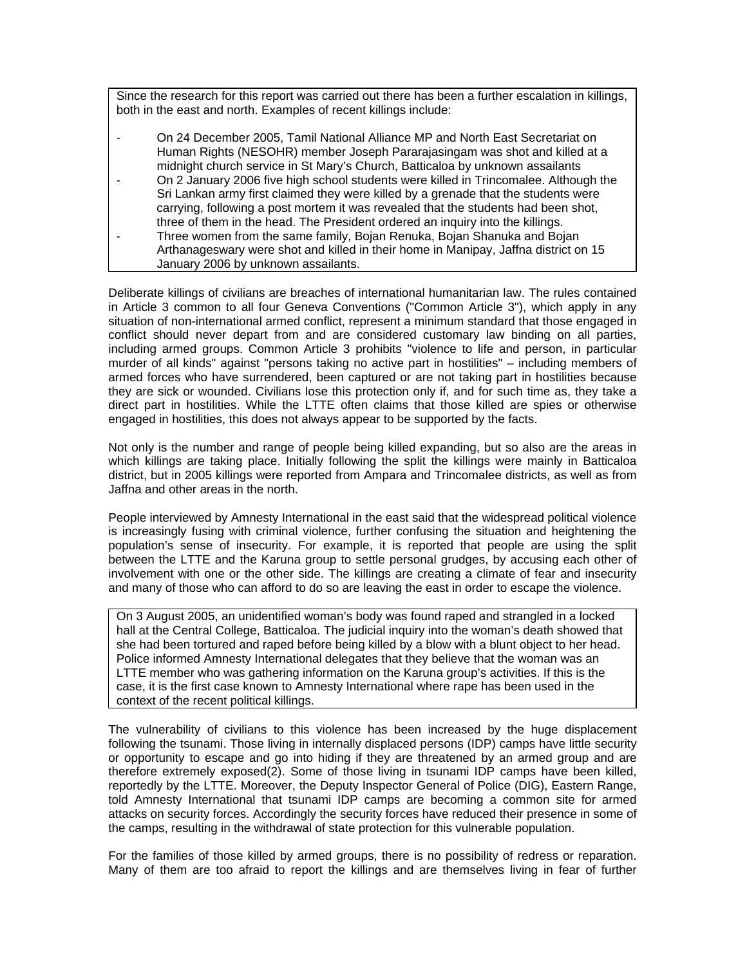Since the research for this report was carried out there has been a further escalation in killings, both in the east and north. Examples of recent killings include:

- On 24 December 2005, Tamil National Alliance MP and North East Secretariat on Human Rights (NESOHR) member Joseph Pararajasingam was shot and killed at a midnight church service in St Mary's Church, Batticaloa by unknown assailants
- On 2 January 2006 five high school students were killed in Trincomalee. Although the Sri Lankan army first claimed they were killed by a grenade that the students were carrying, following a post mortem it was revealed that the students had been shot, three of them in the head. The President ordered an inquiry into the killings.
- Three women from the same family, Bojan Renuka, Bojan Shanuka and Bojan Arthanageswary were shot and killed in their home in Manipay, Jaffna district on 15 January 2006 by unknown assailants.

Deliberate killings of civilians are breaches of international humanitarian law. The rules contained in Article 3 common to all four Geneva Conventions ("Common Article 3"), which apply in any situation of non-international armed conflict, represent a minimum standard that those engaged in conflict should never depart from and are considered customary law binding on all parties, including armed groups. Common Article 3 prohibits "violence to life and person, in particular murder of all kinds" against "persons taking no active part in hostilities" – including members of armed forces who have surrendered, been captured or are not taking part in hostilities because they are sick or wounded. Civilians lose this protection only if, and for such time as, they take a direct part in hostilities. While the LTTE often claims that those killed are spies or otherwise engaged in hostilities, this does not always appear to be supported by the facts.

Not only is the number and range of people being killed expanding, but so also are the areas in which killings are taking place. Initially following the split the killings were mainly in Batticaloa district, but in 2005 killings were reported from Ampara and Trincomalee districts, as well as from Jaffna and other areas in the north.

People interviewed by Amnesty International in the east said that the widespread political violence is increasingly fusing with criminal violence, further confusing the situation and heightening the population's sense of insecurity. For example, it is reported that people are using the split between the LTTE and the Karuna group to settle personal grudges, by accusing each other of involvement with one or the other side. The killings are creating a climate of fear and insecurity and many of those who can afford to do so are leaving the east in order to escape the violence.

On 3 August 2005, an unidentified woman's body was found raped and strangled in a locked hall at the Central College, Batticaloa. The judicial inquiry into the woman's death showed that she had been tortured and raped before being killed by a blow with a blunt object to her head. Police informed Amnesty International delegates that they believe that the woman was an LTTE member who was gathering information on the Karuna group's activities. If this is the case, it is the first case known to Amnesty International where rape has been used in the context of the recent political killings.

The vulnerability of civilians to this violence has been increased by the huge displacement following the tsunami. Those living in internally displaced persons (IDP) camps have little security or opportunity to escape and go into hiding if they are threatened by an armed group and are therefore extremely exposed(2). Some of those living in tsunami IDP camps have been killed, reportedly by the LTTE. Moreover, the Deputy Inspector General of Police (DIG), Eastern Range, told Amnesty International that tsunami IDP camps are becoming a common site for armed attacks on security forces. Accordingly the security forces have reduced their presence in some of the camps, resulting in the withdrawal of state protection for this vulnerable population.

For the families of those killed by armed groups, there is no possibility of redress or reparation. Many of them are too afraid to report the killings and are themselves living in fear of further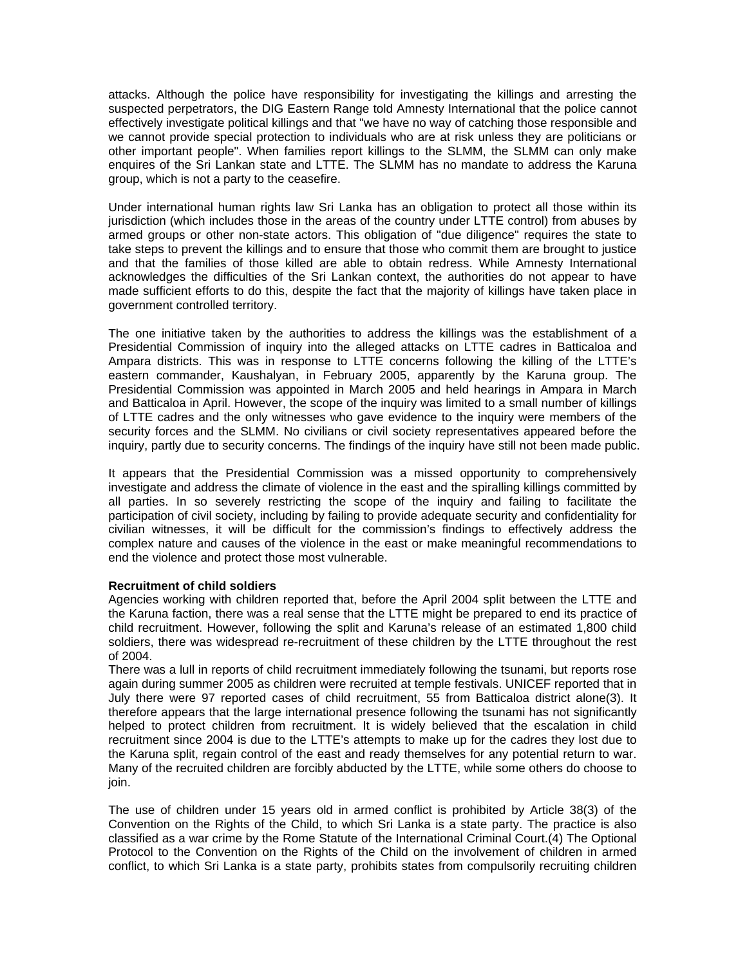attacks. Although the police have responsibility for investigating the killings and arresting the suspected perpetrators, the DIG Eastern Range told Amnesty International that the police cannot effectively investigate political killings and that "we have no way of catching those responsible and we cannot provide special protection to individuals who are at risk unless they are politicians or other important people". When families report killings to the SLMM, the SLMM can only make enquires of the Sri Lankan state and LTTE. The SLMM has no mandate to address the Karuna group, which is not a party to the ceasefire.

Under international human rights law Sri Lanka has an obligation to protect all those within its jurisdiction (which includes those in the areas of the country under LTTE control) from abuses by armed groups or other non-state actors. This obligation of "due diligence" requires the state to take steps to prevent the killings and to ensure that those who commit them are brought to justice and that the families of those killed are able to obtain redress. While Amnesty International acknowledges the difficulties of the Sri Lankan context, the authorities do not appear to have made sufficient efforts to do this, despite the fact that the majority of killings have taken place in government controlled territory.

The one initiative taken by the authorities to address the killings was the establishment of a Presidential Commission of inquiry into the alleged attacks on LTTE cadres in Batticaloa and Ampara districts. This was in response to LTTE concerns following the killing of the LTTE's eastern commander, Kaushalyan, in February 2005, apparently by the Karuna group. The Presidential Commission was appointed in March 2005 and held hearings in Ampara in March and Batticaloa in April. However, the scope of the inquiry was limited to a small number of killings of LTTE cadres and the only witnesses who gave evidence to the inquiry were members of the security forces and the SLMM. No civilians or civil society representatives appeared before the inquiry, partly due to security concerns. The findings of the inquiry have still not been made public.

It appears that the Presidential Commission was a missed opportunity to comprehensively investigate and address the climate of violence in the east and the spiralling killings committed by all parties. In so severely restricting the scope of the inquiry and failing to facilitate the participation of civil society, including by failing to provide adequate security and confidentiality for civilian witnesses, it will be difficult for the commission's findings to effectively address the complex nature and causes of the violence in the east or make meaningful recommendations to end the violence and protect those most vulnerable.

## **Recruitment of child soldiers**

Agencies working with children reported that, before the April 2004 split between the LTTE and the Karuna faction, there was a real sense that the LTTE might be prepared to end its practice of child recruitment. However, following the split and Karuna's release of an estimated 1,800 child soldiers, there was widespread re-recruitment of these children by the LTTE throughout the rest of 2004.

There was a lull in reports of child recruitment immediately following the tsunami, but reports rose again during summer 2005 as children were recruited at temple festivals. UNICEF reported that in July there were 97 reported cases of child recruitment, 55 from Batticaloa district alone(3). It therefore appears that the large international presence following the tsunami has not significantly helped to protect children from recruitment. It is widely believed that the escalation in child recruitment since 2004 is due to the LTTE's attempts to make up for the cadres they lost due to the Karuna split, regain control of the east and ready themselves for any potential return to war. Many of the recruited children are forcibly abducted by the LTTE, while some others do choose to join.

The use of children under 15 years old in armed conflict is prohibited by Article 38(3) of the Convention on the Rights of the Child, to which Sri Lanka is a state party. The practice is also classified as a war crime by the Rome Statute of the International Criminal Court.(4) The Optional Protocol to the Convention on the Rights of the Child on the involvement of children in armed conflict, to which Sri Lanka is a state party, prohibits states from compulsorily recruiting children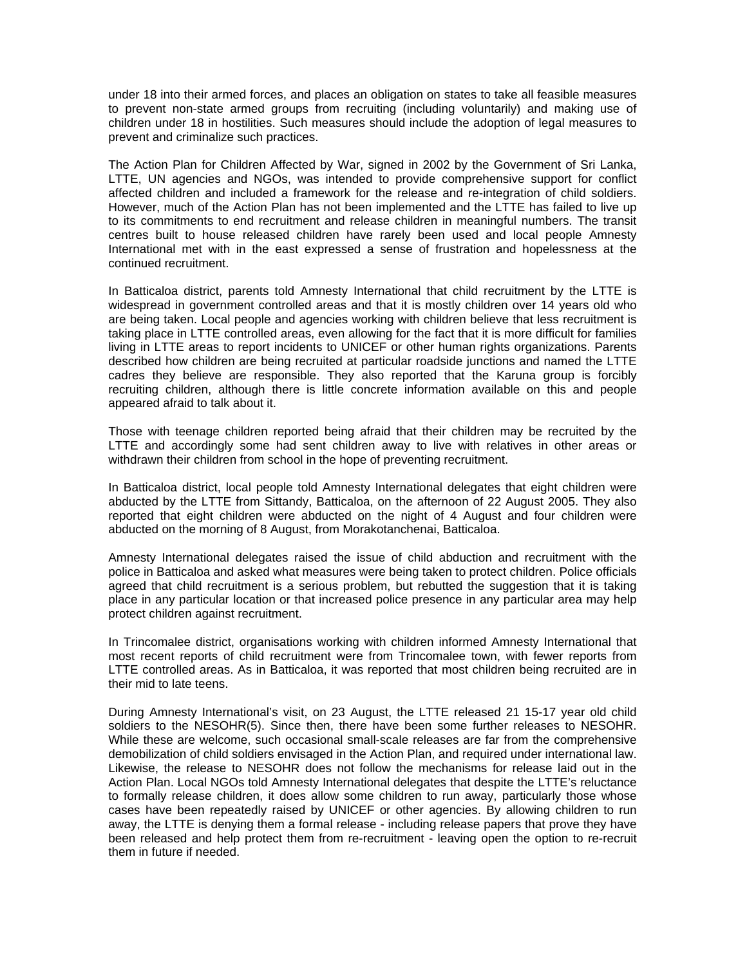under 18 into their armed forces, and places an obligation on states to take all feasible measures to prevent non-state armed groups from recruiting (including voluntarily) and making use of children under 18 in hostilities. Such measures should include the adoption of legal measures to prevent and criminalize such practices.

The Action Plan for Children Affected by War, signed in 2002 by the Government of Sri Lanka, LTTE, UN agencies and NGOs, was intended to provide comprehensive support for conflict affected children and included a framework for the release and re-integration of child soldiers. However, much of the Action Plan has not been implemented and the LTTE has failed to live up to its commitments to end recruitment and release children in meaningful numbers. The transit centres built to house released children have rarely been used and local people Amnesty International met with in the east expressed a sense of frustration and hopelessness at the continued recruitment.

In Batticaloa district, parents told Amnesty International that child recruitment by the LTTE is widespread in government controlled areas and that it is mostly children over 14 years old who are being taken. Local people and agencies working with children believe that less recruitment is taking place in LTTE controlled areas, even allowing for the fact that it is more difficult for families living in LTTE areas to report incidents to UNICEF or other human rights organizations. Parents described how children are being recruited at particular roadside junctions and named the LTTE cadres they believe are responsible. They also reported that the Karuna group is forcibly recruiting children, although there is little concrete information available on this and people appeared afraid to talk about it.

Those with teenage children reported being afraid that their children may be recruited by the LTTE and accordingly some had sent children away to live with relatives in other areas or withdrawn their children from school in the hope of preventing recruitment.

In Batticaloa district, local people told Amnesty International delegates that eight children were abducted by the LTTE from Sittandy, Batticaloa, on the afternoon of 22 August 2005. They also reported that eight children were abducted on the night of 4 August and four children were abducted on the morning of 8 August, from Morakotanchenai, Batticaloa.

Amnesty International delegates raised the issue of child abduction and recruitment with the police in Batticaloa and asked what measures were being taken to protect children. Police officials agreed that child recruitment is a serious problem, but rebutted the suggestion that it is taking place in any particular location or that increased police presence in any particular area may help protect children against recruitment.

In Trincomalee district, organisations working with children informed Amnesty International that most recent reports of child recruitment were from Trincomalee town, with fewer reports from LTTE controlled areas. As in Batticaloa, it was reported that most children being recruited are in their mid to late teens.

During Amnesty International's visit, on 23 August, the LTTE released 21 15-17 year old child soldiers to the NESOHR(5). Since then, there have been some further releases to NESOHR. While these are welcome, such occasional small-scale releases are far from the comprehensive demobilization of child soldiers envisaged in the Action Plan, and required under international law. Likewise, the release to NESOHR does not follow the mechanisms for release laid out in the Action Plan. Local NGOs told Amnesty International delegates that despite the LTTE's reluctance to formally release children, it does allow some children to run away, particularly those whose cases have been repeatedly raised by UNICEF or other agencies. By allowing children to run away, the LTTE is denying them a formal release - including release papers that prove they have been released and help protect them from re-recruitment - leaving open the option to re-recruit them in future if needed.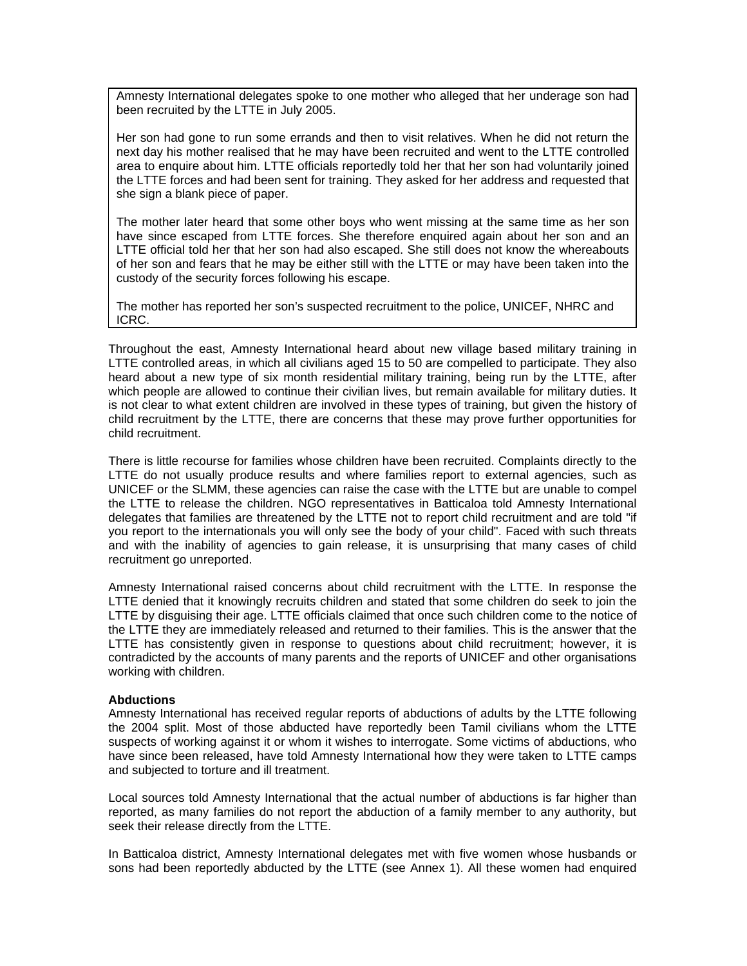Amnesty International delegates spoke to one mother who alleged that her underage son had been recruited by the LTTE in July 2005.

Her son had gone to run some errands and then to visit relatives. When he did not return the next day his mother realised that he may have been recruited and went to the LTTE controlled area to enquire about him. LTTE officials reportedly told her that her son had voluntarily joined the LTTE forces and had been sent for training. They asked for her address and requested that she sign a blank piece of paper.

The mother later heard that some other boys who went missing at the same time as her son have since escaped from LTTE forces. She therefore enquired again about her son and an LTTE official told her that her son had also escaped. She still does not know the whereabouts of her son and fears that he may be either still with the LTTE or may have been taken into the custody of the security forces following his escape.

The mother has reported her son's suspected recruitment to the police, UNICEF, NHRC and ICRC.

Throughout the east, Amnesty International heard about new village based military training in LTTE controlled areas, in which all civilians aged 15 to 50 are compelled to participate. They also heard about a new type of six month residential military training, being run by the LTTE, after which people are allowed to continue their civilian lives, but remain available for military duties. It is not clear to what extent children are involved in these types of training, but given the history of child recruitment by the LTTE, there are concerns that these may prove further opportunities for child recruitment.

There is little recourse for families whose children have been recruited. Complaints directly to the LTTE do not usually produce results and where families report to external agencies, such as UNICEF or the SLMM, these agencies can raise the case with the LTTE but are unable to compel the LTTE to release the children. NGO representatives in Batticaloa told Amnesty International delegates that families are threatened by the LTTE not to report child recruitment and are told "if you report to the internationals you will only see the body of your child". Faced with such threats and with the inability of agencies to gain release, it is unsurprising that many cases of child recruitment go unreported.

Amnesty International raised concerns about child recruitment with the LTTE. In response the LTTE denied that it knowingly recruits children and stated that some children do seek to join the LTTE by disguising their age. LTTE officials claimed that once such children come to the notice of the LTTE they are immediately released and returned to their families. This is the answer that the LTTE has consistently given in response to questions about child recruitment; however, it is contradicted by the accounts of many parents and the reports of UNICEF and other organisations working with children.

#### **Abductions**

Amnesty International has received regular reports of abductions of adults by the LTTE following the 2004 split. Most of those abducted have reportedly been Tamil civilians whom the LTTE suspects of working against it or whom it wishes to interrogate. Some victims of abductions, who have since been released, have told Amnesty International how they were taken to LTTE camps and subjected to torture and ill treatment.

Local sources told Amnesty International that the actual number of abductions is far higher than reported, as many families do not report the abduction of a family member to any authority, but seek their release directly from the LTTE.

In Batticaloa district, Amnesty International delegates met with five women whose husbands or sons had been reportedly abducted by the LTTE (see Annex 1). All these women had enquired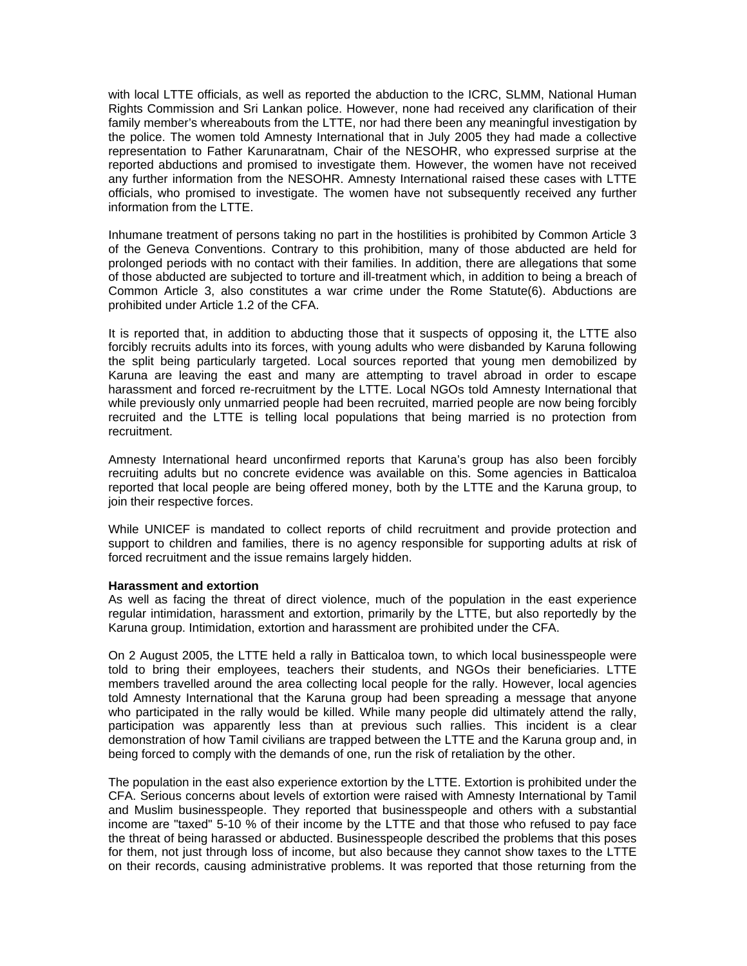with local LTTE officials, as well as reported the abduction to the ICRC, SLMM, National Human Rights Commission and Sri Lankan police. However, none had received any clarification of their family member's whereabouts from the LTTE, nor had there been any meaningful investigation by the police. The women told Amnesty International that in July 2005 they had made a collective representation to Father Karunaratnam, Chair of the NESOHR, who expressed surprise at the reported abductions and promised to investigate them. However, the women have not received any further information from the NESOHR. Amnesty International raised these cases with LTTE officials, who promised to investigate. The women have not subsequently received any further information from the LTTE.

Inhumane treatment of persons taking no part in the hostilities is prohibited by Common Article 3 of the Geneva Conventions. Contrary to this prohibition, many of those abducted are held for prolonged periods with no contact with their families. In addition, there are allegations that some of those abducted are subjected to torture and ill-treatment which, in addition to being a breach of Common Article 3, also constitutes a war crime under the Rome Statute(6). Abductions are prohibited under Article 1.2 of the CFA.

It is reported that, in addition to abducting those that it suspects of opposing it, the LTTE also forcibly recruits adults into its forces, with young adults who were disbanded by Karuna following the split being particularly targeted. Local sources reported that young men demobilized by Karuna are leaving the east and many are attempting to travel abroad in order to escape harassment and forced re-recruitment by the LTTE. Local NGOs told Amnesty International that while previously only unmarried people had been recruited, married people are now being forcibly recruited and the LTTE is telling local populations that being married is no protection from recruitment.

Amnesty International heard unconfirmed reports that Karuna's group has also been forcibly recruiting adults but no concrete evidence was available on this. Some agencies in Batticaloa reported that local people are being offered money, both by the LTTE and the Karuna group, to join their respective forces.

While UNICEF is mandated to collect reports of child recruitment and provide protection and support to children and families, there is no agency responsible for supporting adults at risk of forced recruitment and the issue remains largely hidden.

#### **Harassment and extortion**

As well as facing the threat of direct violence, much of the population in the east experience regular intimidation, harassment and extortion, primarily by the LTTE, but also reportedly by the Karuna group. Intimidation, extortion and harassment are prohibited under the CFA.

On 2 August 2005, the LTTE held a rally in Batticaloa town, to which local businesspeople were told to bring their employees, teachers their students, and NGOs their beneficiaries. LTTE members travelled around the area collecting local people for the rally. However, local agencies told Amnesty International that the Karuna group had been spreading a message that anyone who participated in the rally would be killed. While many people did ultimately attend the rally, participation was apparently less than at previous such rallies. This incident is a clear demonstration of how Tamil civilians are trapped between the LTTE and the Karuna group and, in being forced to comply with the demands of one, run the risk of retaliation by the other.

The population in the east also experience extortion by the LTTE. Extortion is prohibited under the CFA. Serious concerns about levels of extortion were raised with Amnesty International by Tamil and Muslim businesspeople. They reported that businesspeople and others with a substantial income are "taxed" 5-10 % of their income by the LTTE and that those who refused to pay face the threat of being harassed or abducted. Businesspeople described the problems that this poses for them, not just through loss of income, but also because they cannot show taxes to the LTTE on their records, causing administrative problems. It was reported that those returning from the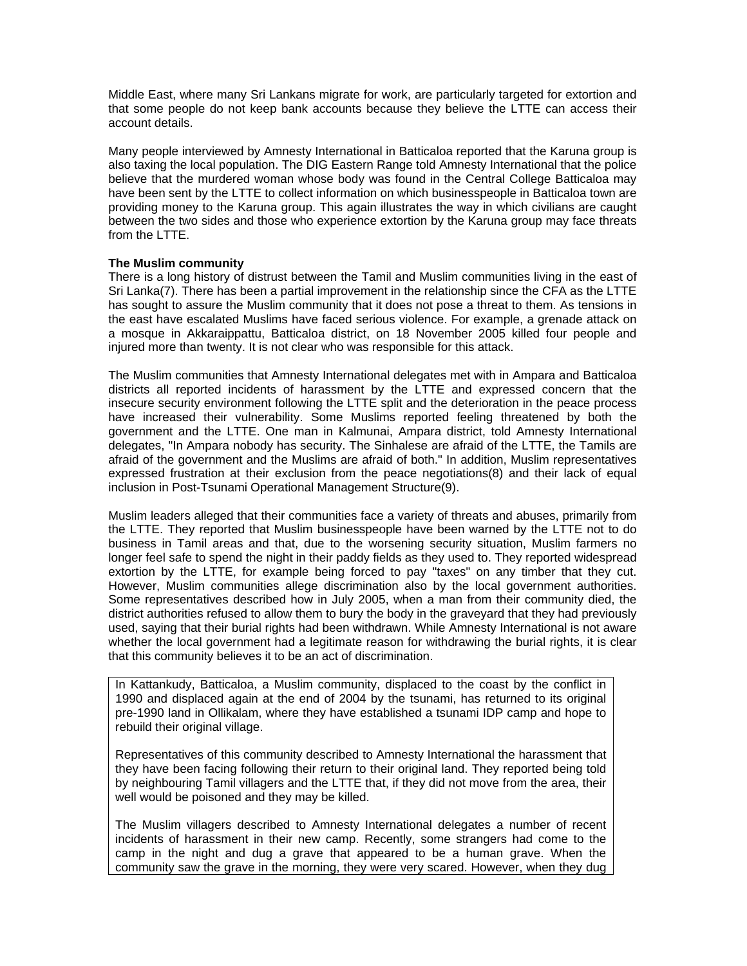Middle East, where many Sri Lankans migrate for work, are particularly targeted for extortion and that some people do not keep bank accounts because they believe the LTTE can access their account details.

Many people interviewed by Amnesty International in Batticaloa reported that the Karuna group is also taxing the local population. The DIG Eastern Range told Amnesty International that the police believe that the murdered woman whose body was found in the Central College Batticaloa may have been sent by the LTTE to collect information on which businesspeople in Batticaloa town are providing money to the Karuna group. This again illustrates the way in which civilians are caught between the two sides and those who experience extortion by the Karuna group may face threats from the LTTE.

## **The Muslim community**

There is a long history of distrust between the Tamil and Muslim communities living in the east of Sri Lanka(7). There has been a partial improvement in the relationship since the CFA as the LTTE has sought to assure the Muslim community that it does not pose a threat to them. As tensions in the east have escalated Muslims have faced serious violence. For example, a grenade attack on a mosque in Akkaraippattu, Batticaloa district, on 18 November 2005 killed four people and injured more than twenty. It is not clear who was responsible for this attack.

The Muslim communities that Amnesty International delegates met with in Ampara and Batticaloa districts all reported incidents of harassment by the LTTE and expressed concern that the insecure security environment following the LTTE split and the deterioration in the peace process have increased their vulnerability. Some Muslims reported feeling threatened by both the government and the LTTE. One man in Kalmunai, Ampara district, told Amnesty International delegates, "In Ampara nobody has security. The Sinhalese are afraid of the LTTE, the Tamils are afraid of the government and the Muslims are afraid of both." In addition, Muslim representatives expressed frustration at their exclusion from the peace negotiations(8) and their lack of equal inclusion in Post-Tsunami Operational Management Structure(9).

Muslim leaders alleged that their communities face a variety of threats and abuses, primarily from the LTTE. They reported that Muslim businesspeople have been warned by the LTTE not to do business in Tamil areas and that, due to the worsening security situation, Muslim farmers no longer feel safe to spend the night in their paddy fields as they used to. They reported widespread extortion by the LTTE, for example being forced to pay "taxes" on any timber that they cut. However, Muslim communities allege discrimination also by the local government authorities. Some representatives described how in July 2005, when a man from their community died, the district authorities refused to allow them to bury the body in the graveyard that they had previously used, saying that their burial rights had been withdrawn. While Amnesty International is not aware whether the local government had a legitimate reason for withdrawing the burial rights, it is clear that this community believes it to be an act of discrimination.

In Kattankudy, Batticaloa, a Muslim community, displaced to the coast by the conflict in 1990 and displaced again at the end of 2004 by the tsunami, has returned to its original pre-1990 land in Ollikalam, where they have established a tsunami IDP camp and hope to rebuild their original village.

Representatives of this community described to Amnesty International the harassment that they have been facing following their return to their original land. They reported being told by neighbouring Tamil villagers and the LTTE that, if they did not move from the area, their well would be poisoned and they may be killed.

The Muslim villagers described to Amnesty International delegates a number of recent incidents of harassment in their new camp. Recently, some strangers had come to the camp in the night and dug a grave that appeared to be a human grave. When the community saw the grave in the morning, they were very scared. However, when they dug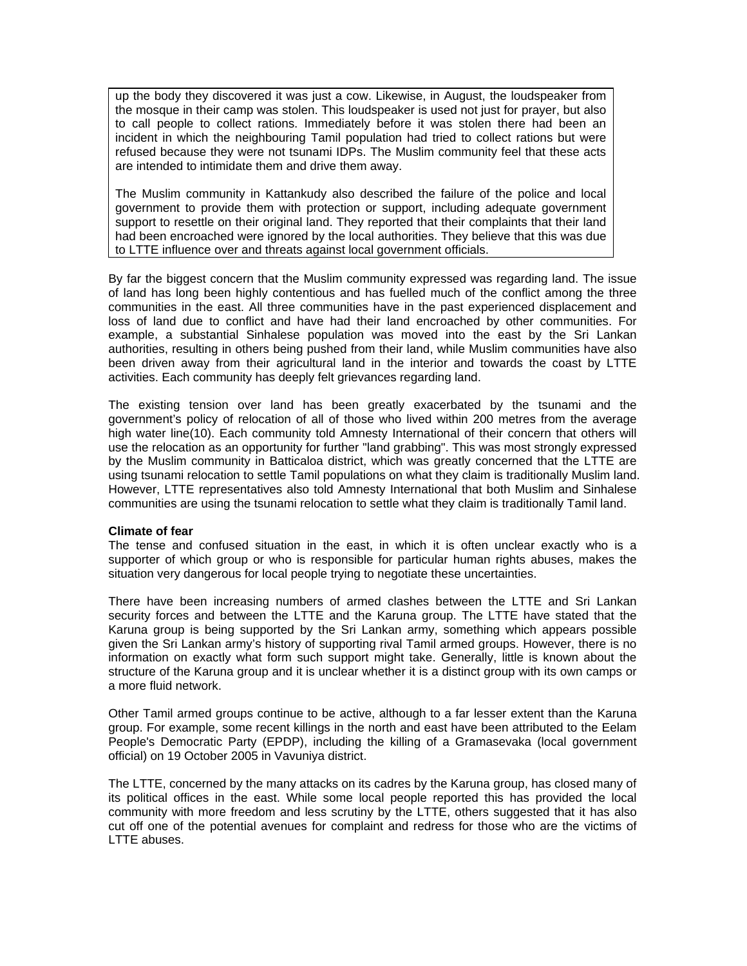up the body they discovered it was just a cow. Likewise, in August, the loudspeaker from the mosque in their camp was stolen. This loudspeaker is used not just for prayer, but also to call people to collect rations. Immediately before it was stolen there had been an incident in which the neighbouring Tamil population had tried to collect rations but were refused because they were not tsunami IDPs. The Muslim community feel that these acts are intended to intimidate them and drive them away.

The Muslim community in Kattankudy also described the failure of the police and local government to provide them with protection or support, including adequate government support to resettle on their original land. They reported that their complaints that their land had been encroached were ignored by the local authorities. They believe that this was due to LTTE influence over and threats against local government officials.

By far the biggest concern that the Muslim community expressed was regarding land. The issue of land has long been highly contentious and has fuelled much of the conflict among the three communities in the east. All three communities have in the past experienced displacement and loss of land due to conflict and have had their land encroached by other communities. For example, a substantial Sinhalese population was moved into the east by the Sri Lankan authorities, resulting in others being pushed from their land, while Muslim communities have also been driven away from their agricultural land in the interior and towards the coast by LTTE activities. Each community has deeply felt grievances regarding land.

The existing tension over land has been greatly exacerbated by the tsunami and the government's policy of relocation of all of those who lived within 200 metres from the average high water line(10). Each community told Amnesty International of their concern that others will use the relocation as an opportunity for further "land grabbing". This was most strongly expressed by the Muslim community in Batticaloa district, which was greatly concerned that the LTTE are using tsunami relocation to settle Tamil populations on what they claim is traditionally Muslim land. However, LTTE representatives also told Amnesty International that both Muslim and Sinhalese communities are using the tsunami relocation to settle what they claim is traditionally Tamil land.

#### **Climate of fear**

The tense and confused situation in the east, in which it is often unclear exactly who is a supporter of which group or who is responsible for particular human rights abuses, makes the situation very dangerous for local people trying to negotiate these uncertainties.

There have been increasing numbers of armed clashes between the LTTE and Sri Lankan security forces and between the LTTE and the Karuna group. The LTTE have stated that the Karuna group is being supported by the Sri Lankan army, something which appears possible given the Sri Lankan army's history of supporting rival Tamil armed groups. However, there is no information on exactly what form such support might take. Generally, little is known about the structure of the Karuna group and it is unclear whether it is a distinct group with its own camps or a more fluid network.

Other Tamil armed groups continue to be active, although to a far lesser extent than the Karuna group. For example, some recent killings in the north and east have been attributed to the Eelam People's Democratic Party (EPDP), including the killing of a Gramasevaka (local government official) on 19 October 2005 in Vavuniya district.

The LTTE, concerned by the many attacks on its cadres by the Karuna group, has closed many of its political offices in the east. While some local people reported this has provided the local community with more freedom and less scrutiny by the LTTE, others suggested that it has also cut off one of the potential avenues for complaint and redress for those who are the victims of LTTE abuses.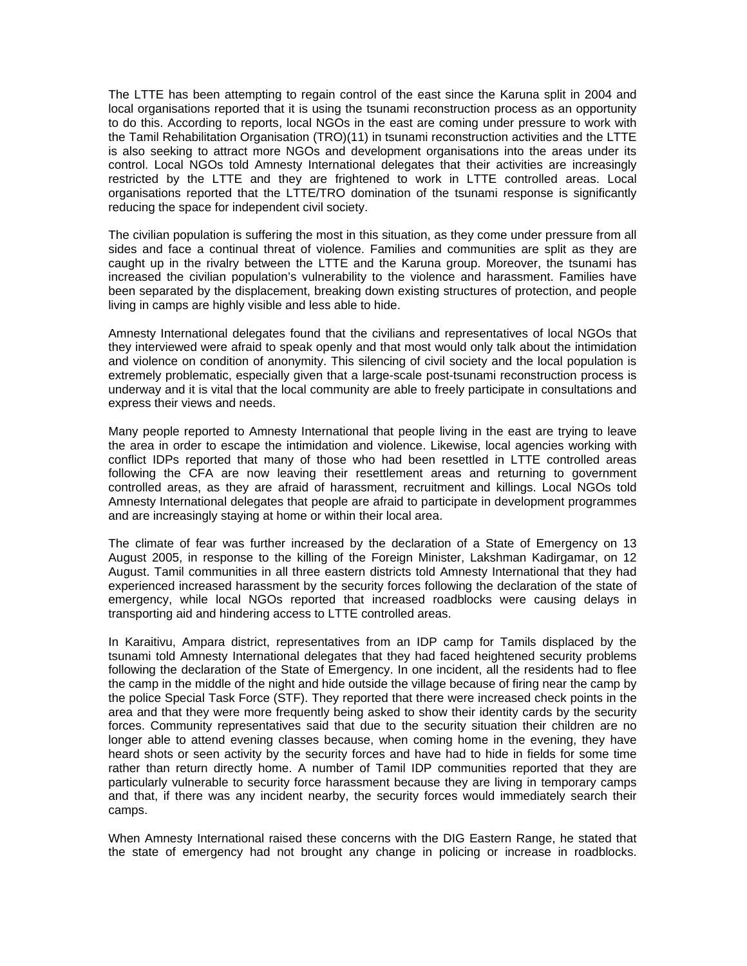The LTTE has been attempting to regain control of the east since the Karuna split in 2004 and local organisations reported that it is using the tsunami reconstruction process as an opportunity to do this. According to reports, local NGOs in the east are coming under pressure to work with the Tamil Rehabilitation Organisation (TRO)(11) in tsunami reconstruction activities and the LTTE is also seeking to attract more NGOs and development organisations into the areas under its control. Local NGOs told Amnesty International delegates that their activities are increasingly restricted by the LTTE and they are frightened to work in LTTE controlled areas. Local organisations reported that the LTTE/TRO domination of the tsunami response is significantly reducing the space for independent civil society.

The civilian population is suffering the most in this situation, as they come under pressure from all sides and face a continual threat of violence. Families and communities are split as they are caught up in the rivalry between the LTTE and the Karuna group. Moreover, the tsunami has increased the civilian population's vulnerability to the violence and harassment. Families have been separated by the displacement, breaking down existing structures of protection, and people living in camps are highly visible and less able to hide.

Amnesty International delegates found that the civilians and representatives of local NGOs that they interviewed were afraid to speak openly and that most would only talk about the intimidation and violence on condition of anonymity. This silencing of civil society and the local population is extremely problematic, especially given that a large-scale post-tsunami reconstruction process is underway and it is vital that the local community are able to freely participate in consultations and express their views and needs.

Many people reported to Amnesty International that people living in the east are trying to leave the area in order to escape the intimidation and violence. Likewise, local agencies working with conflict IDPs reported that many of those who had been resettled in LTTE controlled areas following the CFA are now leaving their resettlement areas and returning to government controlled areas, as they are afraid of harassment, recruitment and killings. Local NGOs told Amnesty International delegates that people are afraid to participate in development programmes and are increasingly staying at home or within their local area.

The climate of fear was further increased by the declaration of a State of Emergency on 13 August 2005, in response to the killing of the Foreign Minister, Lakshman Kadirgamar, on 12 August. Tamil communities in all three eastern districts told Amnesty International that they had experienced increased harassment by the security forces following the declaration of the state of emergency, while local NGOs reported that increased roadblocks were causing delays in transporting aid and hindering access to LTTE controlled areas.

In Karaitivu, Ampara district, representatives from an IDP camp for Tamils displaced by the tsunami told Amnesty International delegates that they had faced heightened security problems following the declaration of the State of Emergency. In one incident, all the residents had to flee the camp in the middle of the night and hide outside the village because of firing near the camp by the police Special Task Force (STF). They reported that there were increased check points in the area and that they were more frequently being asked to show their identity cards by the security forces. Community representatives said that due to the security situation their children are no longer able to attend evening classes because, when coming home in the evening, they have heard shots or seen activity by the security forces and have had to hide in fields for some time rather than return directly home. A number of Tamil IDP communities reported that they are particularly vulnerable to security force harassment because they are living in temporary camps and that, if there was any incident nearby, the security forces would immediately search their camps.

When Amnesty International raised these concerns with the DIG Eastern Range, he stated that the state of emergency had not brought any change in policing or increase in roadblocks.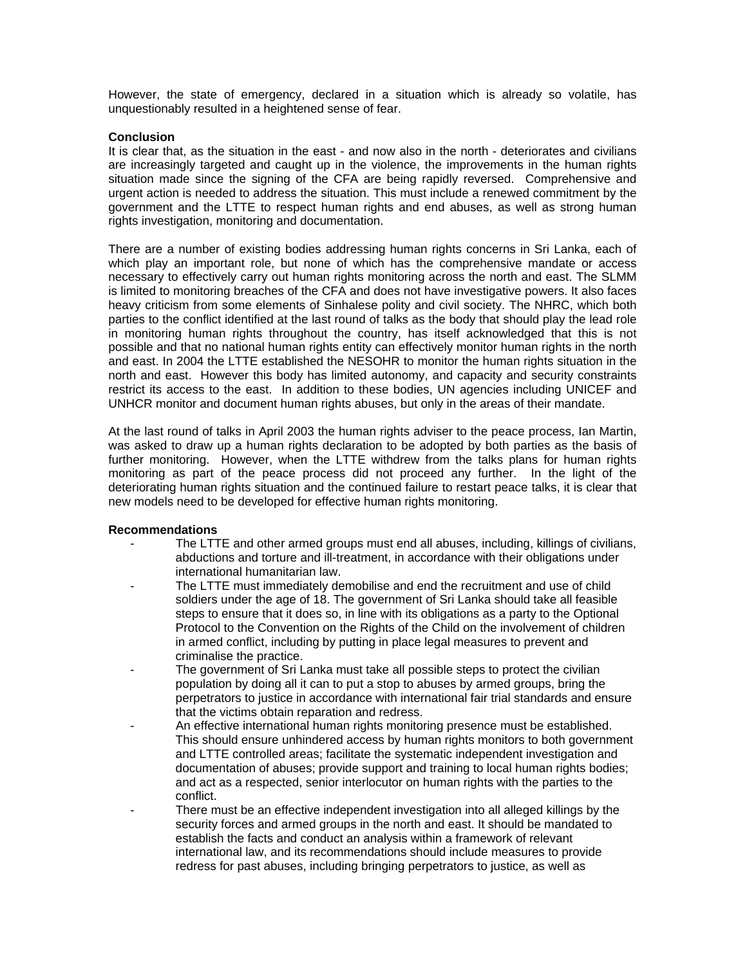However, the state of emergency, declared in a situation which is already so volatile, has unquestionably resulted in a heightened sense of fear.

## **Conclusion**

It is clear that, as the situation in the east - and now also in the north - deteriorates and civilians are increasingly targeted and caught up in the violence, the improvements in the human rights situation made since the signing of the CFA are being rapidly reversed. Comprehensive and urgent action is needed to address the situation. This must include a renewed commitment by the government and the LTTE to respect human rights and end abuses, as well as strong human rights investigation, monitoring and documentation.

There are a number of existing bodies addressing human rights concerns in Sri Lanka, each of which play an important role, but none of which has the comprehensive mandate or access necessary to effectively carry out human rights monitoring across the north and east. The SLMM is limited to monitoring breaches of the CFA and does not have investigative powers. It also faces heavy criticism from some elements of Sinhalese polity and civil society. The NHRC, which both parties to the conflict identified at the last round of talks as the body that should play the lead role in monitoring human rights throughout the country, has itself acknowledged that this is not possible and that no national human rights entity can effectively monitor human rights in the north and east. In 2004 the LTTE established the NESOHR to monitor the human rights situation in the north and east. However this body has limited autonomy, and capacity and security constraints restrict its access to the east. In addition to these bodies, UN agencies including UNICEF and UNHCR monitor and document human rights abuses, but only in the areas of their mandate.

At the last round of talks in April 2003 the human rights adviser to the peace process, Ian Martin, was asked to draw up a human rights declaration to be adopted by both parties as the basis of further monitoring. However, when the LTTE withdrew from the talks plans for human rights monitoring as part of the peace process did not proceed any further. In the light of the deteriorating human rights situation and the continued failure to restart peace talks, it is clear that new models need to be developed for effective human rights monitoring.

## **Recommendations**

- The LTTE and other armed groups must end all abuses, including, killings of civilians, abductions and torture and ill-treatment, in accordance with their obligations under international humanitarian law.
- The LTTE must immediately demobilise and end the recruitment and use of child soldiers under the age of 18. The government of Sri Lanka should take all feasible steps to ensure that it does so, in line with its obligations as a party to the Optional Protocol to the Convention on the Rights of the Child on the involvement of children in armed conflict, including by putting in place legal measures to prevent and criminalise the practice.
- The government of Sri Lanka must take all possible steps to protect the civilian population by doing all it can to put a stop to abuses by armed groups, bring the perpetrators to justice in accordance with international fair trial standards and ensure that the victims obtain reparation and redress.
- An effective international human rights monitoring presence must be established. This should ensure unhindered access by human rights monitors to both government and LTTE controlled areas; facilitate the systematic independent investigation and documentation of abuses; provide support and training to local human rights bodies; and act as a respected, senior interlocutor on human rights with the parties to the conflict.
- There must be an effective independent investigation into all alleged killings by the security forces and armed groups in the north and east. It should be mandated to establish the facts and conduct an analysis within a framework of relevant international law, and its recommendations should include measures to provide redress for past abuses, including bringing perpetrators to justice, as well as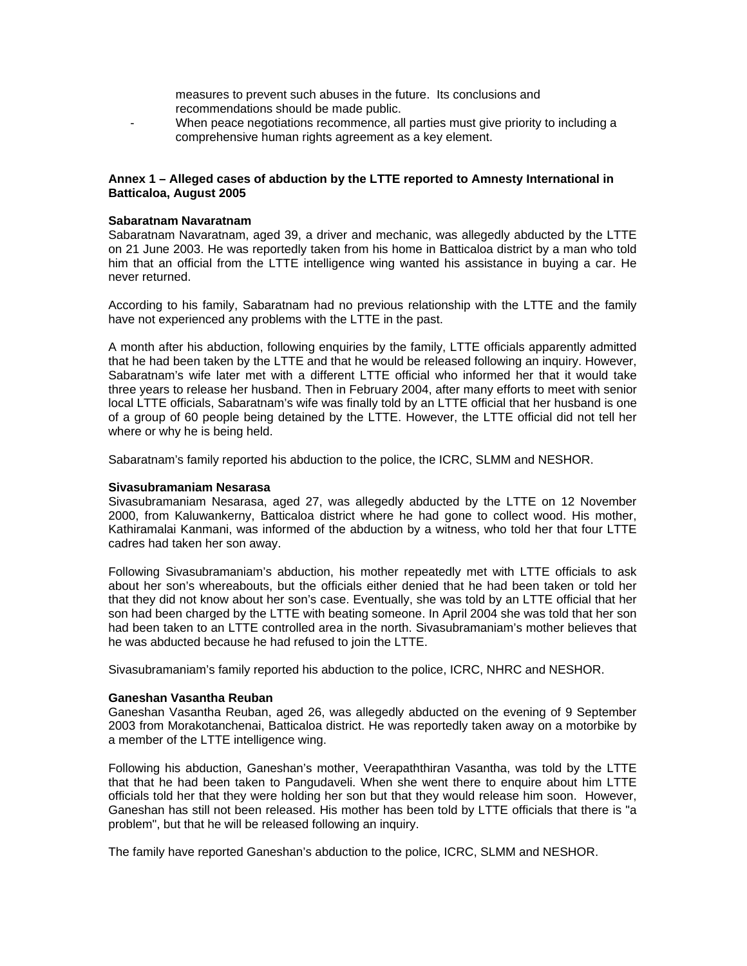- measures to prevent such abuses in the future. Its conclusions and recommendations should be made public.
- When peace negotiations recommence, all parties must give priority to including a comprehensive human rights agreement as a key element.

## **Annex 1 – Alleged cases of abduction by the LTTE reported to Amnesty International in Batticaloa, August 2005**

## **Sabaratnam Navaratnam**

Sabaratnam Navaratnam, aged 39, a driver and mechanic, was allegedly abducted by the LTTE on 21 June 2003. He was reportedly taken from his home in Batticaloa district by a man who told him that an official from the LTTE intelligence wing wanted his assistance in buying a car. He never returned.

According to his family, Sabaratnam had no previous relationship with the LTTE and the family have not experienced any problems with the LTTE in the past.

A month after his abduction, following enquiries by the family, LTTE officials apparently admitted that he had been taken by the LTTE and that he would be released following an inquiry. However, Sabaratnam's wife later met with a different LTTE official who informed her that it would take three years to release her husband. Then in February 2004, after many efforts to meet with senior local LTTE officials, Sabaratnam's wife was finally told by an LTTE official that her husband is one of a group of 60 people being detained by the LTTE. However, the LTTE official did not tell her where or why he is being held.

Sabaratnam's family reported his abduction to the police, the ICRC, SLMM and NESHOR.

#### **Sivasubramaniam Nesarasa**

Sivasubramaniam Nesarasa, aged 27, was allegedly abducted by the LTTE on 12 November 2000, from Kaluwankerny, Batticaloa district where he had gone to collect wood. His mother, Kathiramalai Kanmani, was informed of the abduction by a witness, who told her that four LTTE cadres had taken her son away.

Following Sivasubramaniam's abduction, his mother repeatedly met with LTTE officials to ask about her son's whereabouts, but the officials either denied that he had been taken or told her that they did not know about her son's case. Eventually, she was told by an LTTE official that her son had been charged by the LTTE with beating someone. In April 2004 she was told that her son had been taken to an LTTE controlled area in the north. Sivasubramaniam's mother believes that he was abducted because he had refused to join the LTTE.

Sivasubramaniam's family reported his abduction to the police, ICRC, NHRC and NESHOR.

## **Ganeshan Vasantha Reuban**

Ganeshan Vasantha Reuban, aged 26, was allegedly abducted on the evening of 9 September 2003 from Morakotanchenai, Batticaloa district. He was reportedly taken away on a motorbike by a member of the LTTE intelligence wing.

Following his abduction, Ganeshan's mother, Veerapaththiran Vasantha, was told by the LTTE that that he had been taken to Pangudaveli. When she went there to enquire about him LTTE officials told her that they were holding her son but that they would release him soon. However, Ganeshan has still not been released. His mother has been told by LTTE officials that there is "a problem", but that he will be released following an inquiry.

The family have reported Ganeshan's abduction to the police, ICRC, SLMM and NESHOR.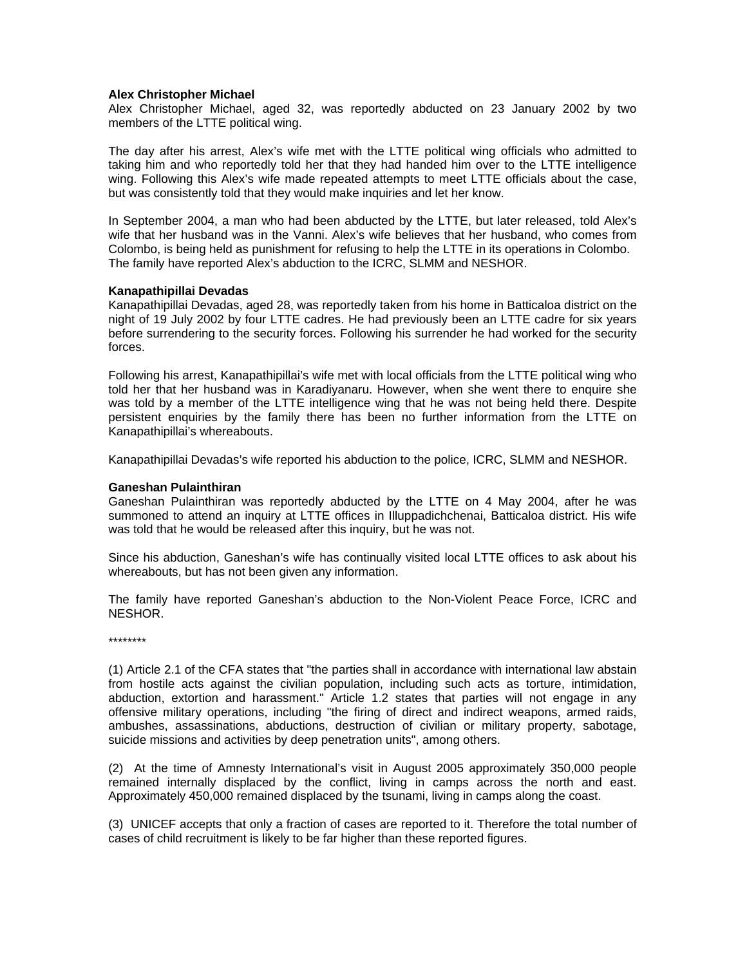### **Alex Christopher Michael**

Alex Christopher Michael, aged 32, was reportedly abducted on 23 January 2002 by two members of the LTTE political wing.

The day after his arrest, Alex's wife met with the LTTE political wing officials who admitted to taking him and who reportedly told her that they had handed him over to the LTTE intelligence wing. Following this Alex's wife made repeated attempts to meet LTTE officials about the case, but was consistently told that they would make inquiries and let her know.

In September 2004, a man who had been abducted by the LTTE, but later released, told Alex's wife that her husband was in the Vanni. Alex's wife believes that her husband, who comes from Colombo, is being held as punishment for refusing to help the LTTE in its operations in Colombo. The family have reported Alex's abduction to the ICRC, SLMM and NESHOR.

### **Kanapathipillai Devadas**

Kanapathipillai Devadas, aged 28, was reportedly taken from his home in Batticaloa district on the night of 19 July 2002 by four LTTE cadres. He had previously been an LTTE cadre for six years before surrendering to the security forces. Following his surrender he had worked for the security forces.

Following his arrest, Kanapathipillai's wife met with local officials from the LTTE political wing who told her that her husband was in Karadiyanaru. However, when she went there to enquire she was told by a member of the LTTE intelligence wing that he was not being held there. Despite persistent enquiries by the family there has been no further information from the LTTE on Kanapathipillai's whereabouts.

Kanapathipillai Devadas's wife reported his abduction to the police, ICRC, SLMM and NESHOR.

#### **Ganeshan Pulainthiran**

Ganeshan Pulainthiran was reportedly abducted by the LTTE on 4 May 2004, after he was summoned to attend an inquiry at LTTE offices in Illuppadichchenai, Batticaloa district. His wife was told that he would be released after this inquiry, but he was not.

Since his abduction, Ganeshan's wife has continually visited local LTTE offices to ask about his whereabouts, but has not been given any information.

The family have reported Ganeshan's abduction to the Non-Violent Peace Force, ICRC and NESHOR.

\*\*\*\*\*\*\*\*

(1) Article 2.1 of the CFA states that "the parties shall in accordance with international law abstain from hostile acts against the civilian population, including such acts as torture, intimidation, abduction, extortion and harassment." Article 1.2 states that parties will not engage in any offensive military operations, including "the firing of direct and indirect weapons, armed raids, ambushes, assassinations, abductions, destruction of civilian or military property, sabotage, suicide missions and activities by deep penetration units", among others.

(2) At the time of Amnesty International's visit in August 2005 approximately 350,000 people remained internally displaced by the conflict, living in camps across the north and east. Approximately 450,000 remained displaced by the tsunami, living in camps along the coast.

(3) UNICEF accepts that only a fraction of cases are reported to it. Therefore the total number of cases of child recruitment is likely to be far higher than these reported figures.